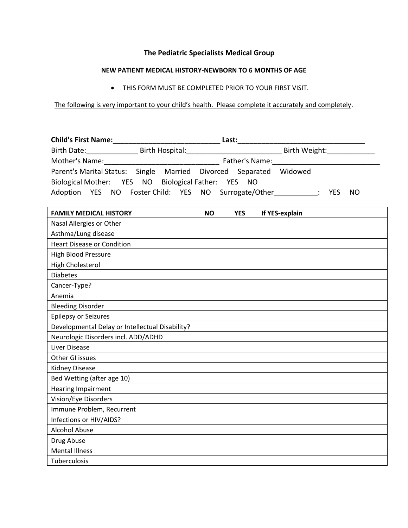## **The Pediatric Specialists Medical Group**

## **NEW PATIENT MEDICAL HISTORY-NEWBORN TO 6 MONTHS OF AGE**

THIS FORM MUST BE COMPLETED PRIOR TO YOUR FIRST VISIT.

The following is very important to your child's health. Please complete it accurately and completely.

| <b>Child's First Name:</b>                                         | Last:                                                                                                                                |  |  |  |  |  |  |  |
|--------------------------------------------------------------------|--------------------------------------------------------------------------------------------------------------------------------------|--|--|--|--|--|--|--|
| Birth Date:                                                        | Birth Hospital: Exercise of the Second Second Second Second Second Second Second Second Second Second Second S<br>Birth Weight: 2000 |  |  |  |  |  |  |  |
| Mother's Name:                                                     | Father's Name:                                                                                                                       |  |  |  |  |  |  |  |
| Parent's Marital Status: Single Married Divorced Separated Widowed |                                                                                                                                      |  |  |  |  |  |  |  |
| Biological Mother: YES NO Biological Father: YES NO                |                                                                                                                                      |  |  |  |  |  |  |  |
| Adoption YES NO Foster Child: YES NO Surrogate/Other               | NO.<br><b>YES</b>                                                                                                                    |  |  |  |  |  |  |  |

| <b>FAMILY MEDICAL HISTORY</b>                   | <b>NO</b> | <b>YES</b> | If YES-explain |
|-------------------------------------------------|-----------|------------|----------------|
| Nasal Allergies or Other                        |           |            |                |
| Asthma/Lung disease                             |           |            |                |
| <b>Heart Disease or Condition</b>               |           |            |                |
| High Blood Pressure                             |           |            |                |
| <b>High Cholesterol</b>                         |           |            |                |
| <b>Diabetes</b>                                 |           |            |                |
| Cancer-Type?                                    |           |            |                |
| Anemia                                          |           |            |                |
| <b>Bleeding Disorder</b>                        |           |            |                |
| <b>Epilepsy or Seizures</b>                     |           |            |                |
| Developmental Delay or Intellectual Disability? |           |            |                |
| Neurologic Disorders incl. ADD/ADHD             |           |            |                |
| Liver Disease                                   |           |            |                |
| Other GI issues                                 |           |            |                |
| Kidney Disease                                  |           |            |                |
| Bed Wetting (after age 10)                      |           |            |                |
| Hearing Impairment                              |           |            |                |
| Vision/Eye Disorders                            |           |            |                |
| Immune Problem, Recurrent                       |           |            |                |
| Infections or HIV/AIDS?                         |           |            |                |
| <b>Alcohol Abuse</b>                            |           |            |                |
| Drug Abuse                                      |           |            |                |
| <b>Mental Illness</b>                           |           |            |                |
| Tuberculosis                                    |           |            |                |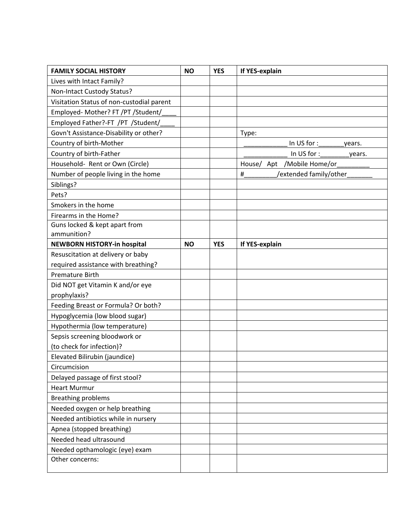| <b>FAMILY SOCIAL HISTORY</b>              | <b>NO</b> | <b>YES</b> | If YES-explain              |
|-------------------------------------------|-----------|------------|-----------------------------|
| Lives with Intact Family?                 |           |            |                             |
| Non-Intact Custody Status?                |           |            |                             |
| Visitation Status of non-custodial parent |           |            |                             |
| Employed- Mother? FT /PT /Student/        |           |            |                             |
| Employed Father?-FT /PT /Student/         |           |            |                             |
| Govn't Assistance-Disability or other?    |           |            | Type:                       |
| Country of birth-Mother                   |           |            |                             |
| Country of birth-Father                   |           |            | In $US$ for $:$<br>vears.   |
| Household- Rent or Own (Circle)           |           |            | House/ Apt /Mobile Home/or  |
| Number of people living in the home       |           |            | #<br>/extended family/other |
| Siblings?                                 |           |            |                             |
| Pets?                                     |           |            |                             |
| Smokers in the home                       |           |            |                             |
| Firearms in the Home?                     |           |            |                             |
| Guns locked & kept apart from             |           |            |                             |
| ammunition?                               |           |            |                             |
| <b>NEWBORN HISTORY-in hospital</b>        | <b>NO</b> | <b>YES</b> | If YES-explain              |
| Resuscitation at delivery or baby         |           |            |                             |
| required assistance with breathing?       |           |            |                             |
| <b>Premature Birth</b>                    |           |            |                             |
| Did NOT get Vitamin K and/or eye          |           |            |                             |
| prophylaxis?                              |           |            |                             |
| Feeding Breast or Formula? Or both?       |           |            |                             |
| Hypoglycemia (low blood sugar)            |           |            |                             |
| Hypothermia (low temperature)             |           |            |                             |
| Sepsis screening bloodwork or             |           |            |                             |
| (to check for infection)?                 |           |            |                             |
| Elevated Bilirubin (jaundice)             |           |            |                             |
| Circumcision                              |           |            |                             |
| Delayed passage of first stool?           |           |            |                             |
| <b>Heart Murmur</b>                       |           |            |                             |
| <b>Breathing problems</b>                 |           |            |                             |
| Needed oxygen or help breathing           |           |            |                             |
| Needed antibiotics while in nursery       |           |            |                             |
| Apnea (stopped breathing)                 |           |            |                             |
| Needed head ultrasound                    |           |            |                             |
| Needed opthamologic (eye) exam            |           |            |                             |
| Other concerns:                           |           |            |                             |
|                                           |           |            |                             |